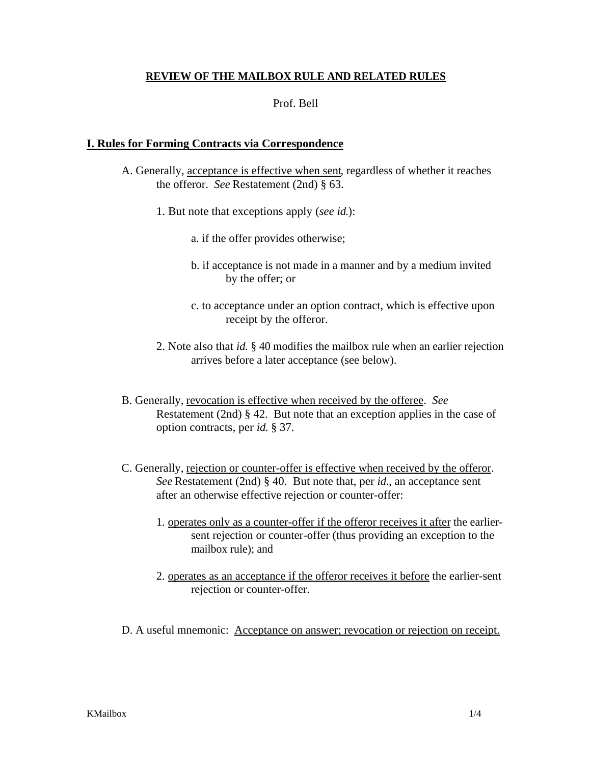## **REVIEW OF THE MAILBOX RULE AND RELATED RULES**

## Prof. Bell

## **I. Rules for Forming Contracts via Correspondence**

- A. Generally, acceptance is effective when sent, regardless of whether it reaches the offeror. *See* Restatement (2nd) § 63.
	- 1. But note that exceptions apply (*see id*.):
		- a. if the offer provides otherwise;
		- b. if acceptance is not made in a manner and by a medium invited by the offer; or
		- c. to acceptance under an option contract, which is effective upon receipt by the offeror.
	- 2. Note also that *id.* § 40 modifies the mailbox rule when an earlier rejection arrives before a later acceptance (see below).
- B. Generally, revocation is effective when received by the offeree. *See* Restatement (2nd) § 42. But note that an exception applies in the case of option contracts, per *id*. § 37.
- C. Generally, rejection or counter-offer is effective when received by the offeror. *See* Restatement (2nd) § 40. But note that, per *id.*, an acceptance sent after an otherwise effective rejection or counter-offer:
	- 1. operates only as a counter-offer if the offeror receives it after the earliersent rejection or counter-offer (thus providing an exception to the mailbox rule); and
	- 2. operates as an acceptance if the offeror receives it before the earlier-sent rejection or counter-offer.
- D. A useful mnemonic: Acceptance on answer; revocation or rejection on receipt.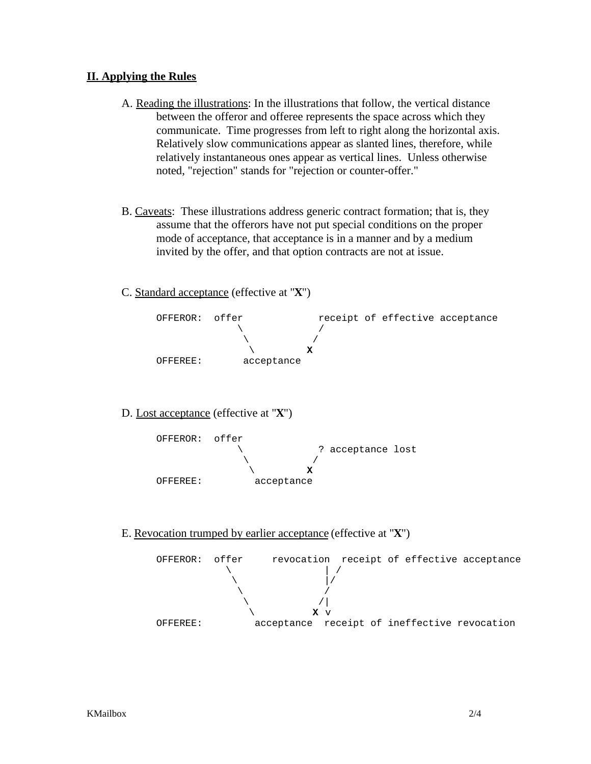## **II. Applying the Rules**

- A. Reading the illustrations: In the illustrations that follow, the vertical distance between the offeror and offeree represents the space across which they communicate. Time progresses from left to right along the horizontal axis. Relatively slow communications appear as slanted lines, therefore, while relatively instantaneous ones appear as vertical lines. Unless otherwise noted, "rejection" stands for "rejection or counter-offer."
- B. Caveats: These illustrations address generic contract formation; that is, they assume that the offerors have not put special conditions on the proper mode of acceptance, that acceptance is in a manner and by a medium invited by the offer, and that option contracts are not at issue.
- C. Standard acceptance (effective at "**X**")



D. Lost acceptance (effective at "**X**")



E. Revocation trumped by earlier acceptance (effective at "**X**")

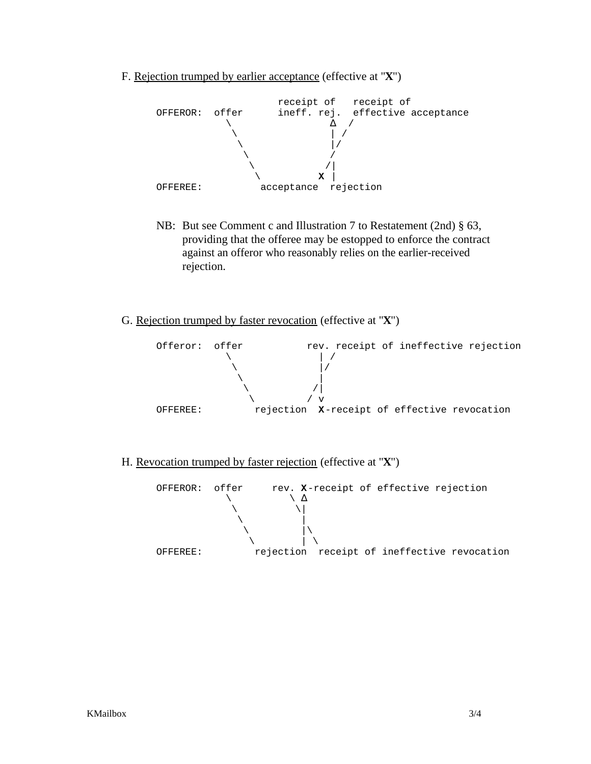F. Rejection trumped by earlier acceptance (effective at "**X**")



- NB: But see Comment c and Illustration 7 to Restatement (2nd) § 63, providing that the offeree may be estopped to enforce the contract against an offeror who reasonably relies on the earlier-received rejection.
- G. Rejection trumped by faster revocation (effective at "**X**")



H. Revocation trumped by faster rejection (effective at "**X**")